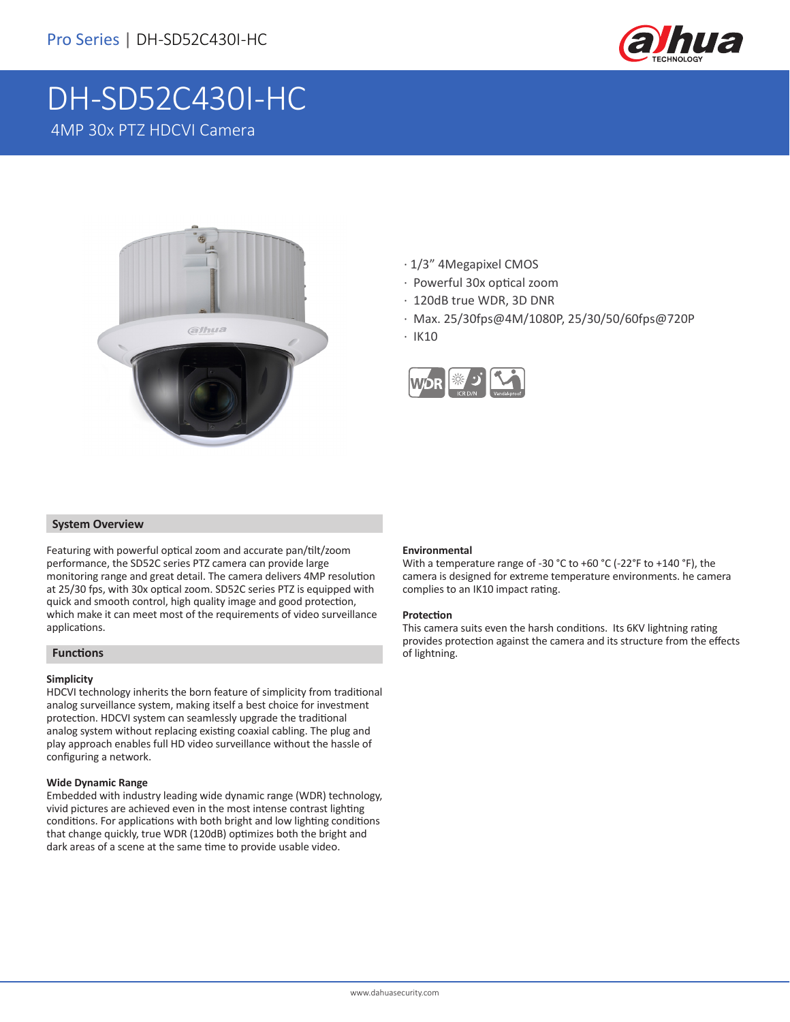

# DH-SD52C430I-HC 4MP 30x PTZ HDCVI Camera



- · 1/3" 4Megapixel CMOS
- · Powerful 30x optical zoom
- · 120dB true WDR, 3D DNR
- · Max. 25/30fps@4M/1080P, 25/30/50/60fps@720P
- · IK10



### **System Overview**

Featuring with powerful optical zoom and accurate pan/tilt/zoom performance, the SD52C series PTZ camera can provide large monitoring range and great detail. The camera delivers 4MP resolution at 25/30 fps, with 30x optical zoom. SD52C series PTZ is equipped with quick and smooth control, high quality image and good protection, which make it can meet most of the requirements of video surveillance applications.

### **Functions**

### **Simplicity**

HDCVI technology inherits the born feature of simplicity from traditional analog surveillance system, making itself a best choice for investment protection. HDCVI system can seamlessly upgrade the traditional analog system without replacing existing coaxial cabling. The plug and play approach enables full HD video surveillance without the hassle of configuring a network.

#### **Wide Dynamic Range**

Embedded with industry leading wide dynamic range (WDR) technology, vivid pictures are achieved even in the most intense contrast lighting conditions. For applications with both bright and low lighting conditions that change quickly, true WDR (120dB) optimizes both the bright and dark areas of a scene at the same time to provide usable video.

#### **Environmental**

With a temperature range of -30 °C to +60 °C (-22°F to +140 °F), the camera is designed for extreme temperature environments. he camera complies to an IK10 impact rating.

#### **Protection**

This camera suits even the harsh conditions. Its 6KV lightning rating provides protection against the camera and its structure from the effects of lightning.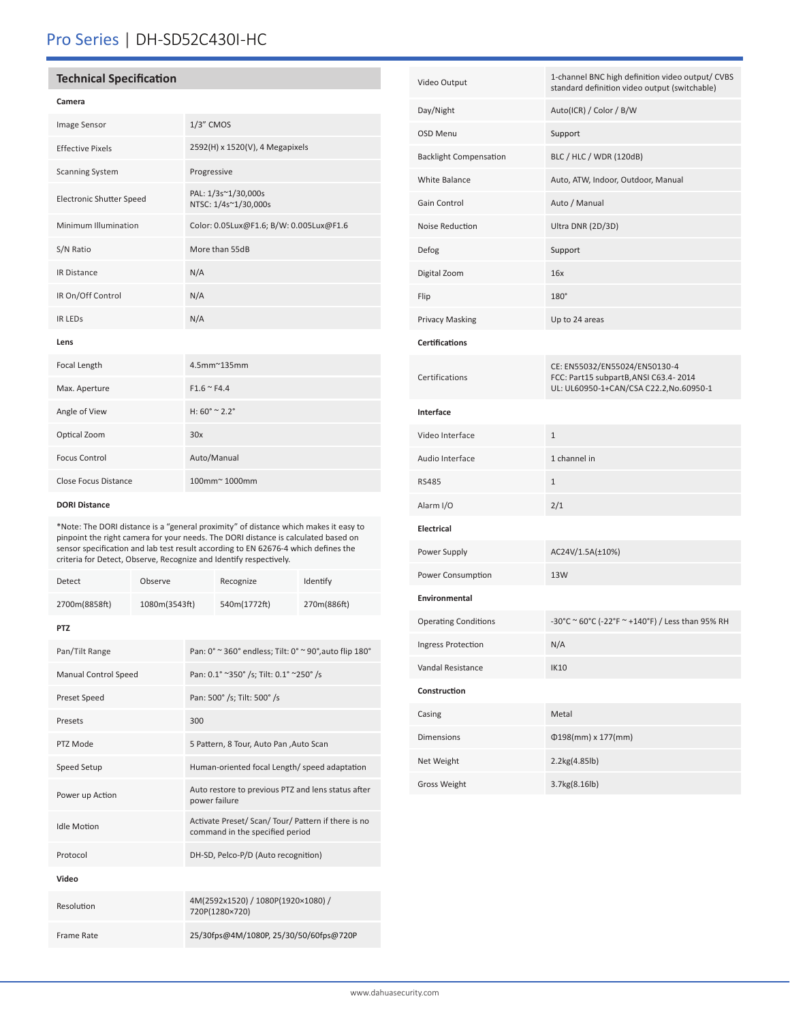## Pro Series | DH-SD52C430I-HC

### **Technical Specification**

### **Camera**

| Image Sensor                    | $1/3$ " CMOS                                |
|---------------------------------|---------------------------------------------|
| <b>Effective Pixels</b>         | 2592(H) x 1520(V), 4 Megapixels             |
| <b>Scanning System</b>          | Progressive                                 |
| <b>Electronic Shutter Speed</b> | PAL: 1/3s~1/30,000s<br>NTSC: 1/4s~1/30,000s |
| Minimum Illumination            | Color: 0.05Lux@F1.6; B/W: 0.005Lux@F1.6     |
| S/N Ratio                       | More than 55dB                              |
| <b>IR Distance</b>              | N/A                                         |
| IR On/Off Control               | N/A                                         |
| <b>IR LEDS</b>                  | N/A                                         |
| Lens                            |                                             |
|                                 |                                             |

| Focal Length         | $4.5$ mm $^{\sim}$ 135mm            |
|----------------------|-------------------------------------|
| Max. Aperture        | $F1.6 \approx F4.4$                 |
| Angle of View        | $H: 60^{\circ} \approx 2.2^{\circ}$ |
| Optical Zoom         | 30x                                 |
| <b>Focus Control</b> | Auto/Manual                         |
| Close Focus Distance | 100mm <sup>~</sup> 1000mm           |

#### **DORI Distance**

\*Note: The DORI distance is a "general proximity" of distance which makes it easy to pinpoint the right camera for your needs. The DORI distance is calculated based on sensor specification and lab test result according to EN 62676-4 which defines the criteria for Detect, Observe, Recognize and Identify respectively.

| Detect                      | Observe       |                                                                                        | Recognize                                              | Identify    |  |  |
|-----------------------------|---------------|----------------------------------------------------------------------------------------|--------------------------------------------------------|-------------|--|--|
| 2700m(8858ft)               | 1080m(3543ft) |                                                                                        | 540m(1772ft)                                           | 270m(886ft) |  |  |
| PT7                         |               |                                                                                        |                                                        |             |  |  |
| Pan/Tilt Range              |               |                                                                                        | Pan: 0° ~ 360° endless; Tilt: 0° ~ 90°, auto flip 180° |             |  |  |
| <b>Manual Control Speed</b> |               | Pan: 0.1° ~350° /s; Tilt: 0.1° ~250° /s                                                |                                                        |             |  |  |
| Preset Speed                |               |                                                                                        | Pan: 500° /s; Tilt: 500° /s                            |             |  |  |
| Presets                     |               |                                                                                        | 300                                                    |             |  |  |
| PTZ Mode                    |               | 5 Pattern, 8 Tour, Auto Pan, Auto Scan                                                 |                                                        |             |  |  |
| Speed Setup                 |               | Human-oriented focal Length/ speed adaptation                                          |                                                        |             |  |  |
| Power up Action             |               | Auto restore to previous PTZ and lens status after<br>power failure                    |                                                        |             |  |  |
| <b>Idle Motion</b>          |               | Activate Preset/ Scan/ Tour/ Pattern if there is no<br>command in the specified period |                                                        |             |  |  |
| Protocol                    |               | DH-SD, Pelco-P/D (Auto recognition)                                                    |                                                        |             |  |  |
| Video                       |               |                                                                                        |                                                        |             |  |  |
| Resolution                  |               | 4M(2592x1520) / 1080P(1920×1080) /<br>720P(1280×720)                                   |                                                        |             |  |  |
| Frame Rate                  |               | 25/30fps@4M/1080P, 25/30/50/60fps@720P                                                 |                                                        |             |  |  |

| Video Output                  | 1-channel BNC high definition video output/ CVBS<br>standard definition video output (switchable)                |  |  |  |
|-------------------------------|------------------------------------------------------------------------------------------------------------------|--|--|--|
| Day/Night                     | Auto(ICR) / Color / B/W                                                                                          |  |  |  |
| <b>OSD Menu</b>               | Support                                                                                                          |  |  |  |
| <b>Backlight Compensation</b> | BLC / HLC / WDR (120dB)                                                                                          |  |  |  |
| <b>White Balance</b>          | Auto, ATW, Indoor, Outdoor, Manual                                                                               |  |  |  |
| Gain Control                  | Auto / Manual                                                                                                    |  |  |  |
| Noise Reduction               | Ultra DNR (2D/3D)                                                                                                |  |  |  |
| Defog                         | Support                                                                                                          |  |  |  |
| Digital Zoom                  | 16x                                                                                                              |  |  |  |
| Flip                          | 180°                                                                                                             |  |  |  |
| <b>Privacy Masking</b>        | Up to 24 areas                                                                                                   |  |  |  |
| <b>Certifications</b>         |                                                                                                                  |  |  |  |
| Certifications                | CE: EN55032/EN55024/EN50130-4<br>FCC: Part15 subpartB, ANSI C63.4-2014<br>UL: UL60950-1+CAN/CSA C22.2,No.60950-1 |  |  |  |
| Interface                     |                                                                                                                  |  |  |  |
| Video Interface               | $\mathbf{1}$                                                                                                     |  |  |  |
| Audio Interface               | 1 channel in                                                                                                     |  |  |  |
| <b>RS485</b>                  | $\mathbf{1}$                                                                                                     |  |  |  |
| Alarm I/O                     | 2/1                                                                                                              |  |  |  |
| <b>Electrical</b>             |                                                                                                                  |  |  |  |
| Power Supply                  | AC24V/1.5A(±10%)                                                                                                 |  |  |  |
| Power Consumption             | 13W                                                                                                              |  |  |  |
| Environmental                 |                                                                                                                  |  |  |  |
| <b>Operating Conditions</b>   | -30°C ~ 60°C (-22°F ~ +140°F) / Less than 95% RH                                                                 |  |  |  |
| Ingress Protection            | N/A                                                                                                              |  |  |  |
| Vandal Resistance             | <b>IK10</b>                                                                                                      |  |  |  |
| Construction                  |                                                                                                                  |  |  |  |
| Casing                        | Metal                                                                                                            |  |  |  |
| <b>Dimensions</b>             | $\Phi$ 198(mm) x 177(mm)                                                                                         |  |  |  |
| Net Weight                    | 2.2kg(4.85lb)                                                                                                    |  |  |  |
| Gross Weight                  | 3.7kg(8.16lb)                                                                                                    |  |  |  |